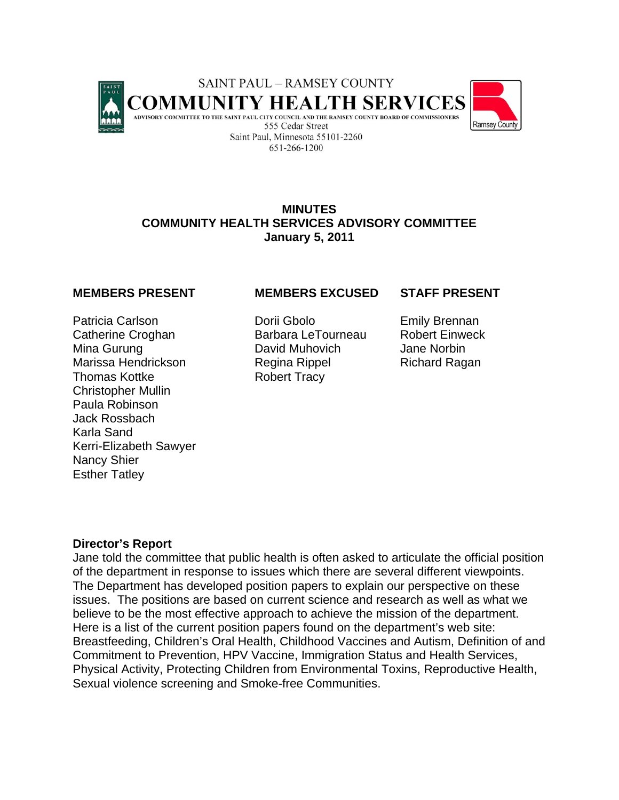

## **MINUTES COMMUNITY HEALTH SERVICES ADVISORY COMMITTEE January 5, 2011**

Patricia Carlson **Dorii Gbolo** Emily Brennan Catherine Croghan **Barbara LeTourneau** Robert Einweck Mina Gurung **David Muhovich** Jane Norbin Marissa Hendrickson Regina Rippel Richard Ragan Thomas Kottke Robert Tracy Christopher Mullin Paula Robinson Jack Rossbach Karla Sand Kerri-Elizabeth Sawyer Nancy Shier Esther Tatley

## **MEMBERS PRESENT MEMBERS EXCUSED STAFF PRESENT**

### **Director's Report**

Jane told the committee that public health is often asked to articulate the official position of the department in response to issues which there are several different viewpoints. The Department has developed position papers to explain our perspective on these issues. The positions are based on current science and research as well as what we believe to be the most effective approach to achieve the mission of the department. Here is a list of the current position papers found on the department's web site: Breastfeeding, Children's Oral Health, Childhood Vaccines and Autism, Definition of and Commitment to Prevention, HPV Vaccine, Immigration Status and Health Services, Physical Activity, Protecting Children from Environmental Toxins, Reproductive Health, Sexual violence screening and Smoke-free Communities.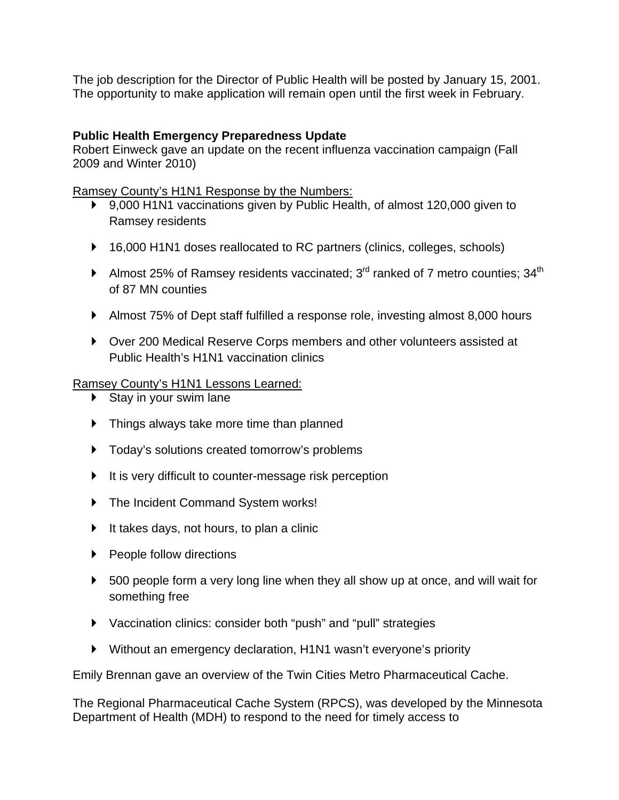The job description for the Director of Public Health will be posted by January 15, 2001. The opportunity to make application will remain open until the first week in February.

# **Public Health Emergency Preparedness Update**

Robert Einweck gave an update on the recent influenza vaccination campaign (Fall 2009 and Winter 2010)

Ramsey County's H1N1 Response by the Numbers:

- ▶ 9,000 H1N1 vaccinations given by Public Health, of almost 120,000 given to Ramsey residents
- ▶ 16,000 H1N1 doses reallocated to RC partners (clinics, colleges, schools)
- Almost 25% of Ramsey residents vaccinated;  $3<sup>rd</sup>$  ranked of 7 metro counties;  $34<sup>th</sup>$ of 87 MN counties
- Almost 75% of Dept staff fulfilled a response role, investing almost 8,000 hours
- Over 200 Medical Reserve Corps members and other volunteers assisted at Public Health's H1N1 vaccination clinics

# Ramsey County's H1N1 Lessons Learned:

- $\triangleright$  Stay in your swim lane
- **F** Things always take more time than planned
- $\triangleright$  Today's solutions created tomorrow's problems
- It is very difficult to counter-message risk perception
- ▶ The Incident Command System works!
- $\blacktriangleright$  It takes days, not hours, to plan a clinic
- ▶ People follow directions
- ▶ 500 people form a very long line when they all show up at once, and will wait for something free
- Vaccination clinics: consider both "push" and "pull" strategies
- Without an emergency declaration, H1N1 wasn't everyone's priority

Emily Brennan gave an overview of the Twin Cities Metro Pharmaceutical Cache.

The Regional Pharmaceutical Cache System (RPCS), was developed by the Minnesota Department of Health (MDH) to respond to the need for timely access to